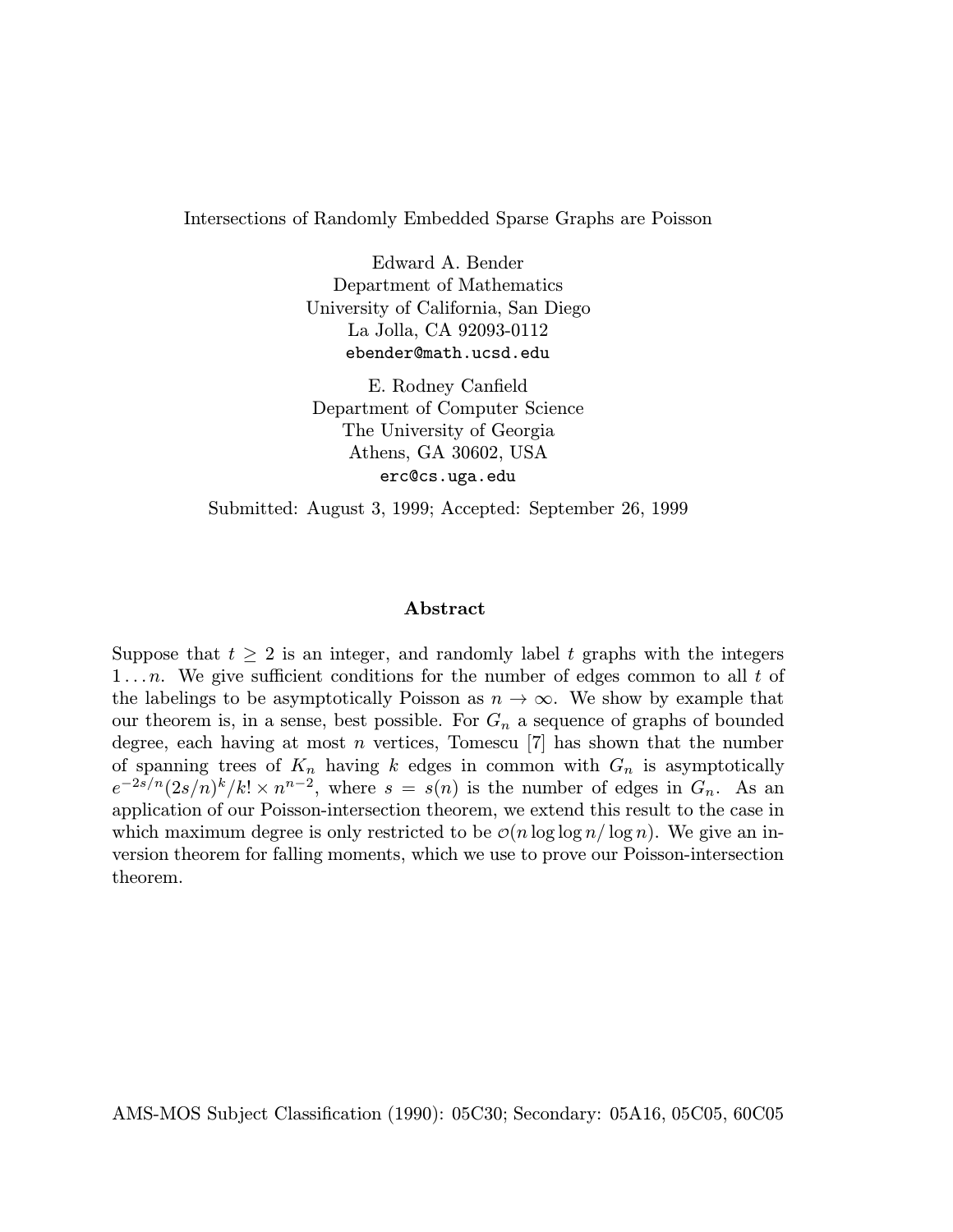Intersections of Randomly Embedded Sparse Graphs are Poisson

Edward A. Bender Department of Mathematics University of California, San Diego La Jolla, CA 92093-0112 ebender@math.ucsd.edu

E. Rodney Canfield Department of Computer Science The University of Georgia Athens, GA 30602, USA erc@cs.uga.edu

Submitted: August 3, 1999; Accepted: September 26, 1999

### Abstract

Suppose that  $t \geq 2$  is an integer, and randomly label t graphs with the integers 1...n. We give sufficient conditions for the number of edges common to all  $t$  of the labelings to be asymptotically Poisson as  $n \to \infty$ . We show by example that our theorem is, in a sense, best possible. For  $G_n$  a sequence of graphs of bounded degree, each having at most n vertices, Tomescu  $[7]$  has shown that the number of spanning trees of  $K_n$  having k edges in common with  $G_n$  is asymptotically  $e^{-2s/n}(2s/n)^k/k! \times n^{n-2}$ , where  $s = s(n)$  is the number of edges in  $G_n$ . As an application of our Poisson-intersection theorem, we extend this result to the case in which maximum degree is only restricted to be  $\mathcal{O}(n \log \log n / \log n)$ . We give an inversion theorem for falling moments, which we use to prove our Poisson-intersection theorem.

AMS-MOS Subject Classification (1990): 05C30; Secondary: 05A16, 05C05, 60C05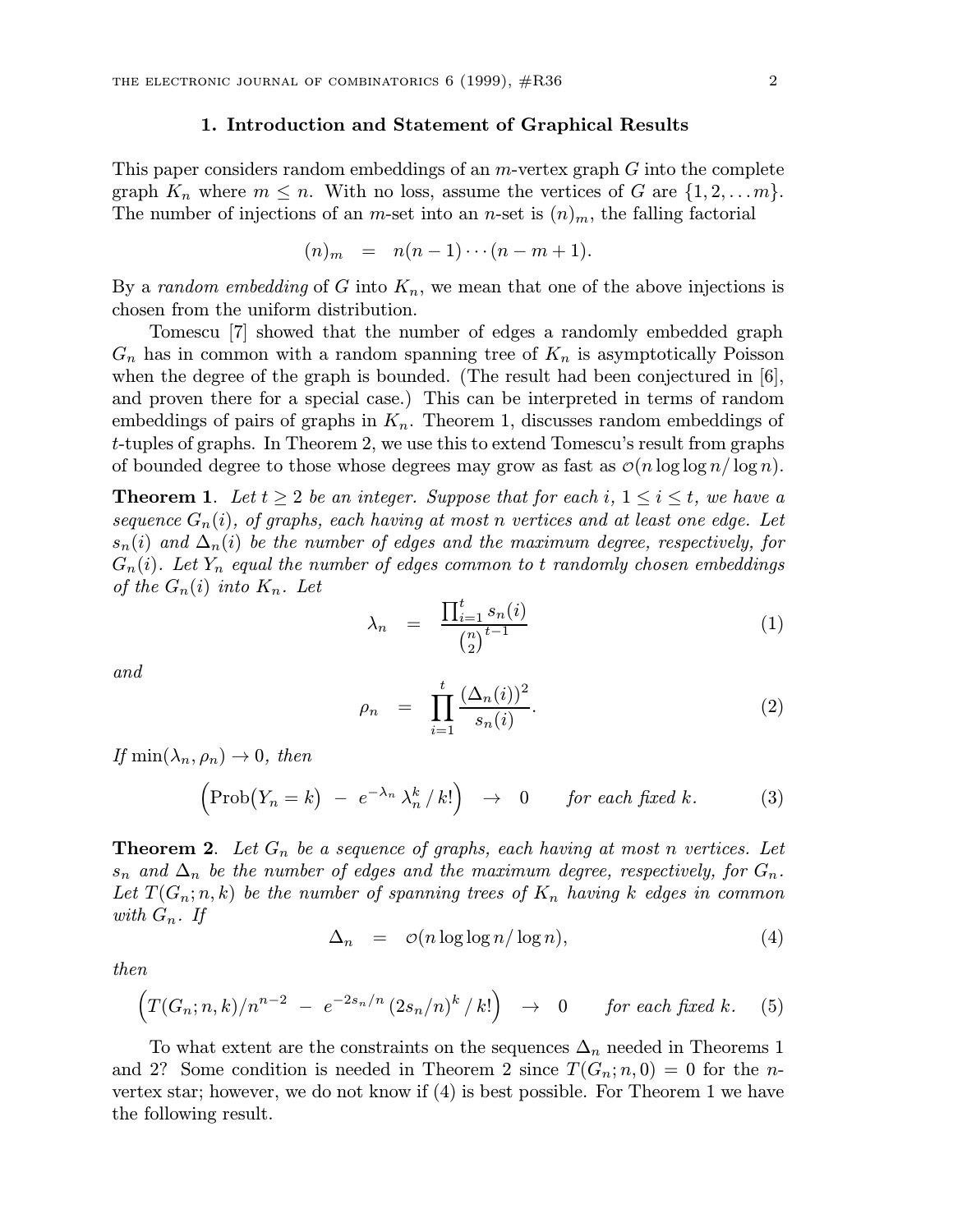## 1. Introduction and Statement of Graphical Results

This paper considers random embeddings of an  $m$ -vertex graph  $G$  into the complete graph  $K_n$  where  $m \leq n$ . With no loss, assume the vertices of G are  $\{1, 2, \ldots m\}$ . The number of injections of an m-set into an n-set is  $(n)<sub>m</sub>$ , the falling factorial

$$
(n)_{m} = n(n-1)\cdots(n-m+1).
$$

By a *random embedding* of G into  $K_n$ , we mean that one of the above injections is chosen from the uniform distribution.

Tomescu [7] showed that the number of edges a randomly embedded graph  $G_n$  has in common with a random spanning tree of  $K_n$  is asymptotically Poisson when the degree of the graph is bounded. (The result had been conjectured in  $[6]$ , and proven there for a special case.) This can be interpreted in terms of random embeddings of pairs of graphs in  $K_n$ . Theorem 1, discusses random embeddings of t-tuples of graphs. In Theorem 2, we use this to extend Tomescu's result from graphs of bounded degree to those whose degrees may grow as fast as  $\mathcal{O}(n \log \log n / \log n)$ .

**Theorem 1.** Let  $t \geq 2$  be an integer. Suppose that for each i,  $1 \leq i \leq t$ , we have a sequence  $G_n(i)$ , of graphs, each having at most n vertices and at least one edge. Let  $s_n(i)$  and  $\Delta_n(i)$  be the number of edges and the maximum degree, respectively, for  $G_n(i)$ . Let  $Y_n$  equal the number of edges common to t randomly chosen embeddings of the  $G_n(i)$  into  $K_n$ . Let

$$
\lambda_n = \frac{\prod_{i=1}^t s_n(i)}{\binom{n}{2}^{t-1}} \tag{1}
$$

and

$$
\rho_n = \prod_{i=1}^t \frac{(\Delta_n(i))^2}{s_n(i)}.
$$
\n(2)

If  $\min(\lambda_n, \rho_n) \to 0$ , then

$$
\left(\text{Prob}\big(Y_n = k\big) - e^{-\lambda_n} \lambda_n^k / k!\right) \rightarrow 0 \quad \text{for each fixed } k. \tag{3}
$$

**Theorem 2.** Let  $G_n$  be a sequence of graphs, each having at most n vertices. Let  $s_n$  and  $\Delta_n$  be the number of edges and the maximum degree, respectively, for  $G_n$ . Let  $T(G_n; n, k)$  be the number of spanning trees of  $K_n$  having k edges in common with  $G_n$ . If

$$
\Delta_n = \mathcal{O}(n \log \log n / \log n), \tag{4}
$$

then

$$
\left(T(G_n;n,k)/n^{n-2} - e^{-2s_n/n}(2s_n/n)^k/k!\right) \rightarrow 0 \quad \text{for each fixed } k. \quad (5)
$$

To what extent are the constraints on the sequences  $\Delta_n$  needed in Theorems 1 and 2? Some condition is needed in Theorem 2 since  $T(G_n; n, 0) = 0$  for the nvertex star; however, we do not know if (4) is best possible. For Theorem 1 we have the following result.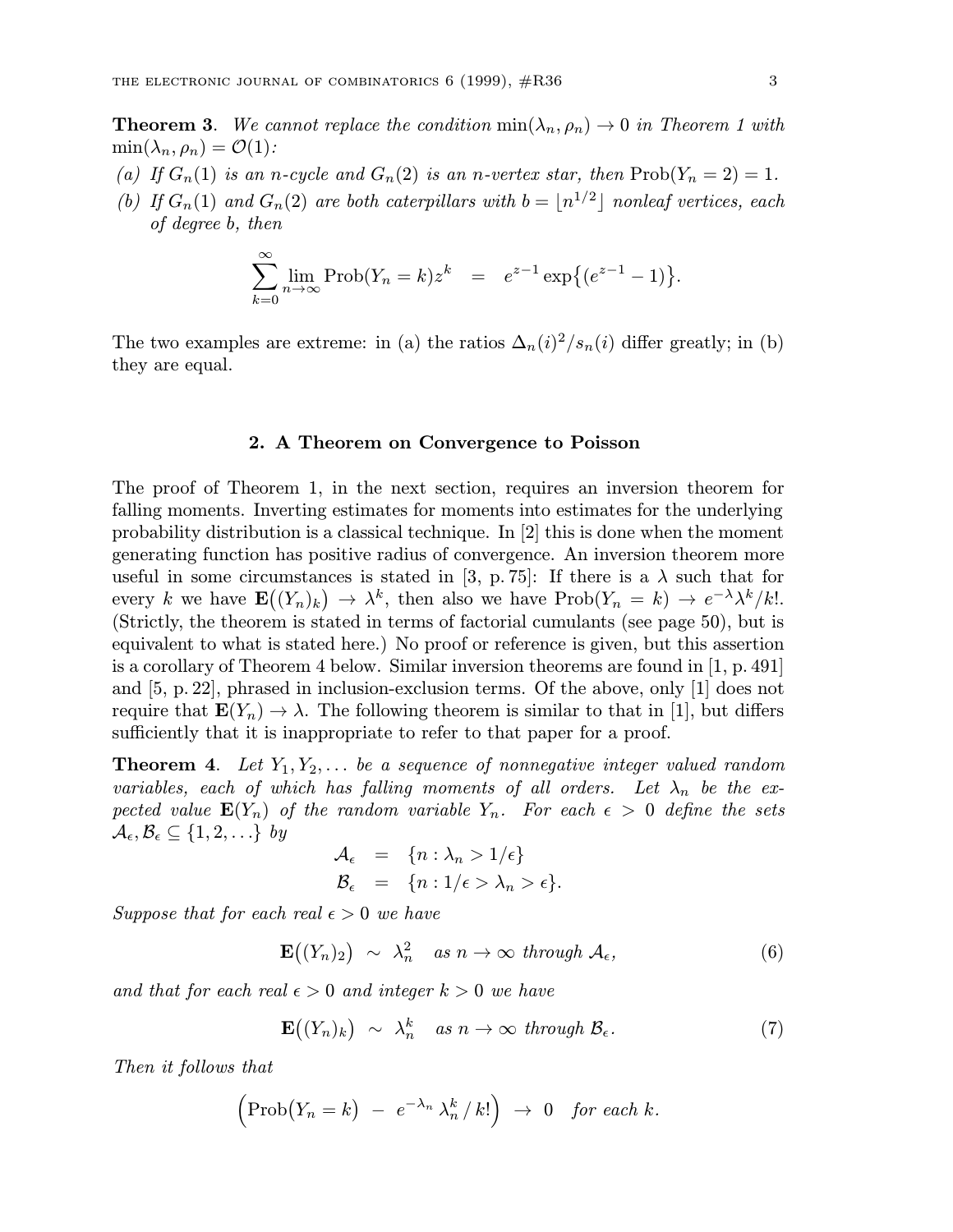**Theorem 3.** We cannot replace the condition  $min(\lambda_n, \rho_n) \to 0$  in Theorem 1 with  $\min(\lambda_n, \rho_n) = \mathcal{O}(1)$ :

- (a) If  $G_n(1)$  is an n-cycle and  $G_n(2)$  is an n-vertex star, then  $Prob(Y_n = 2) = 1$ .
- (b) If  $G_n(1)$  and  $G_n(2)$  are both caterpillars with  $b = \lfloor n^{1/2} \rfloor$  nonleaf vertices, each of degree b, then

$$
\sum_{k=0}^{\infty} \lim_{n \to \infty} \text{Prob}(Y_n = k) z^k = e^{z-1} \exp\{(e^{z-1} - 1)\}.
$$

The two examples are extreme: in (a) the ratios  $\Delta_n(i)^2/s_n(i)$  differ greatly; in (b) they are equal.

#### 2. A Theorem on Convergence to Poisson

The proof of Theorem 1, in the next section, requires an inversion theorem for falling moments. Inverting estimates for moments into estimates for the underlying probability distribution is a classical technique. In [2] this is done when the moment generating function has positive radius of convergence. An inversion theorem more useful in some circumstances is stated in [3, p. 75]: If there is a  $\lambda$  such that for every k we have  $\mathbf{E}((Y_n)_k) \to \lambda^k$ , then also we have  $\text{Prob}(Y_n = k) \to e^{-\lambda} \lambda^k / k!$ . (Strictly, the theorem is stated in terms of factorial cumulants (see page 50), but is equivalent to what is stated here.) No proof or reference is given, but this assertion is a corollary of Theorem 4 below. Similar inversion theorems are found in [1, p. 491] and [5, p. 22], phrased in inclusion-exclusion terms. Of the above, only [1] does not require that  $\mathbf{E}(Y_n) \to \lambda$ . The following theorem is similar to that in [1], but differs sufficiently that it is inappropriate to refer to that paper for a proof.

**Theorem 4.** Let  $Y_1, Y_2, \ldots$  be a sequence of nonnegative integer valued random variables, each of which has falling moments of all orders. Let  $\lambda_n$  be the expected value  $\mathbf{E}(Y_n)$  of the random variable  $Y_n$ . For each  $\epsilon > 0$  define the sets  $\mathcal{A}_{\epsilon}, \mathcal{B}_{\epsilon} \subseteq \{1, 2, \ldots\}$  by

$$
\mathcal{A}_{\epsilon} = \{n : \lambda_n > 1/\epsilon\}
$$
  

$$
\mathcal{B}_{\epsilon} = \{n : 1/\epsilon > \lambda_n > \epsilon\}.
$$

Suppose that for each real  $\epsilon > 0$  we have

$$
\mathbf{E}\big((Y_n)_2\big) \sim \lambda_n^2 \quad \text{as } n \to \infty \text{ through } \mathcal{A}_{\epsilon}, \tag{6}
$$

and that for each real  $\epsilon > 0$  and integer  $k > 0$  we have

$$
\mathbf{E}\big((Y_n)_k\big) \sim \lambda_n^k \quad \text{as } n \to \infty \text{ through } \mathcal{B}_{\epsilon}.\tag{7}
$$

Then it follows that

$$
\left(\text{Prob}\big(Y_n = k\big) - e^{-\lambda_n} \lambda_n^k / k!\right) \rightarrow 0 \text{ for each } k.
$$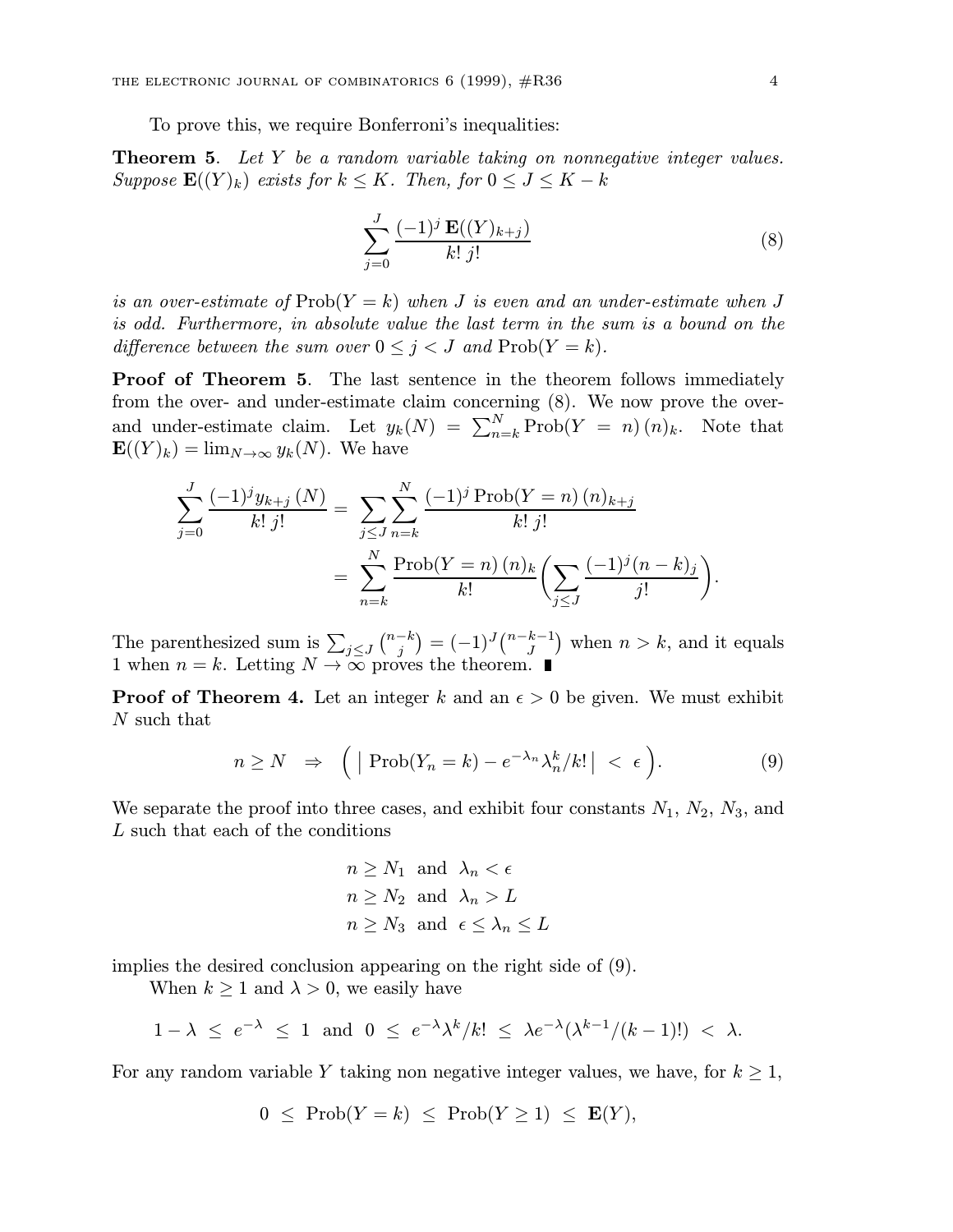To prove this, we require Bonferroni's inequalities:

**Theorem 5.** Let Y be a random variable taking on nonnegative integer values. Suppose  $\mathbf{E}((Y)_k)$  exists for  $k \leq K$ . Then, for  $0 \leq J \leq K - k$ 

$$
\sum_{j=0}^{J} \frac{(-1)^j \mathbf{E}((Y)_{k+j})}{k! \, j!} \tag{8}
$$

is an over-estimate of  $\text{Prob}(Y = k)$  when J is even and an under-estimate when J is odd. Furthermore, in absolute value the last term in the sum is a bound on the difference between the sum over  $0 \leq j < J$  and  $\text{Prob}(Y = k)$ .

Proof of Theorem 5. The last sentence in the theorem follows immediately from the over- and under-estimate claim concerning (8). We now prove the overand under-estimate claim. Let  $y_k(N) = \sum_{n=k}^{N} \text{Prob}(Y = n)(n)_k$ . Note that  $\mathbf{E}((Y)_k) = \lim_{N \to \infty} y_k(N)$ . We have

$$
\sum_{j=0}^{J} \frac{(-1)^j y_{k+j}(N)}{k! \, j!} = \sum_{j \le J} \sum_{n=k}^{N} \frac{(-1)^j \operatorname{Prob}(Y=n) (n)_{k+j}}{k! \, j!}
$$

$$
= \sum_{n=k}^{N} \frac{\operatorname{Prob}(Y=n) (n)_k}{k!} \left( \sum_{j \le J} \frac{(-1)^j (n-k)_j}{j!} \right)
$$

The parenthesized sum is  $\sum_{j\leq J} \binom{n-k}{j} = (-1)^J \binom{n-k-1}{J}$  when  $n > k$ , and it equals 1 when  $n = k$ . Letting  $N \to \infty$  proves the theorem.

**Proof of Theorem 4.** Let an integer k and an  $\epsilon > 0$  be given. We must exhibit N such that

$$
n \ge N \quad \Rightarrow \quad \Big( \mid \text{Prob}(Y_n = k) - e^{-\lambda_n} \lambda_n^k / k! \mid < \epsilon \Big). \tag{9}
$$

We separate the proof into three cases, and exhibit four constants  $N_1$ ,  $N_2$ ,  $N_3$ , and L such that each of the conditions

$$
n \ge N_1 \text{ and } \lambda_n < \epsilon
$$
\n
$$
n \ge N_2 \text{ and } \lambda_n > L
$$
\n
$$
n \ge N_3 \text{ and } \epsilon \le \lambda_n \le L
$$

implies the desired conclusion appearing on the right side of (9).

When  $k \geq 1$  and  $\lambda > 0$ , we easily have

$$
1-\lambda \leq e^{-\lambda} \leq 1 \text{ and } 0 \leq e^{-\lambda} \lambda^k / k! \leq \lambda e^{-\lambda} (\lambda^{k-1}/(k-1)!) < \lambda.
$$

For any random variable Y taking non negative integer values, we have, for  $k \geq 1$ ,

$$
0 \leq \mathrm{Prob}(Y = k) \leq \mathrm{Prob}(Y \geq 1) \leq \mathbf{E}(Y),
$$

.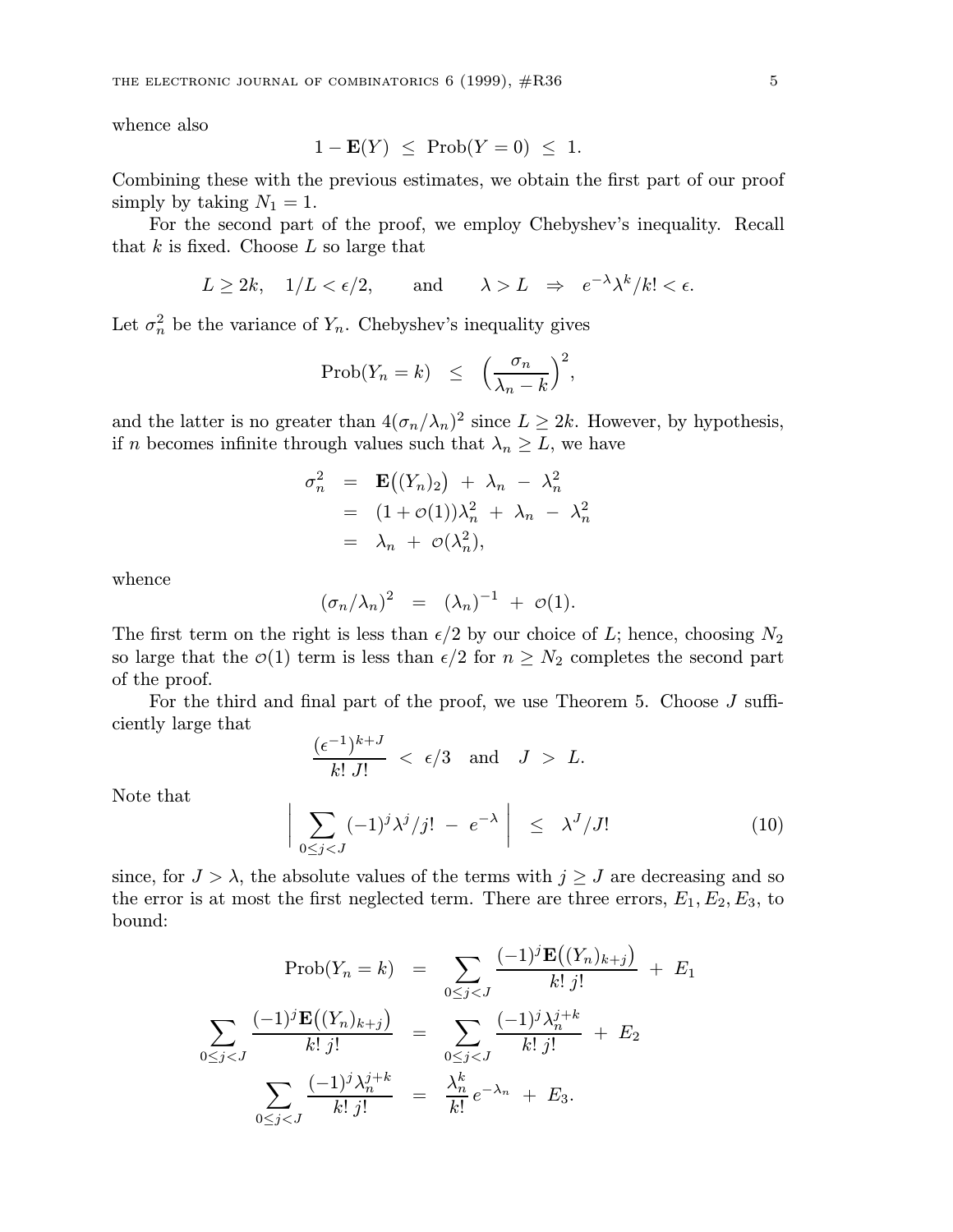whence also

$$
1 - \mathbf{E}(Y) \le \text{Prob}(Y = 0) \le 1.
$$

Combining these with the previous estimates, we obtain the first part of our proof simply by taking  $N_1 = 1$ .

For the second part of the proof, we employ Chebyshev's inequality. Recall that  $k$  is fixed. Choose  $L$  so large that

$$
L \ge 2k
$$
,  $1/L < \epsilon/2$ , and  $\lambda > L \Rightarrow e^{-\lambda} \lambda^k / k! < \epsilon$ .

Let  $\sigma_n^2$  be the variance of  $Y_n$ . Chebyshev's inequality gives

$$
\text{Prob}(Y_n = k) \le \left(\frac{\sigma_n}{\lambda_n - k}\right)^2,
$$

and the latter is no greater than  $4(\sigma_n/\lambda_n)^2$  since  $L \geq 2k$ . However, by hypothesis, if n becomes infinite through values such that  $\lambda_n \geq L$ , we have

$$
\sigma_n^2 = \mathbf{E}((Y_n)_2) + \lambda_n - \lambda_n^2
$$
  
=  $(1 + \mathcal{O}(1))\lambda_n^2 + \lambda_n - \lambda_n^2$   
=  $\lambda_n + \mathcal{O}(\lambda_n^2)$ ,

whence

$$
(\sigma_n/\lambda_n)^2 = (\lambda_n)^{-1} + \mathcal{O}(1).
$$

The first term on the right is less than  $\epsilon/2$  by our choice of L; hence, choosing  $N_2$ so large that the  $\mathcal{O}(1)$  term is less than  $\epsilon/2$  for  $n \geq N_2$  completes the second part of the proof.

For the third and final part of the proof, we use Theorem 5. Choose J sufficiently large that

$$
\frac{(\epsilon^{-1})^{k+J}}{k!\,J!} \; < \; \epsilon/3 \quad \text{and} \quad J \; > \; L.
$$

Note that

$$
\bigg|\sum_{0\leq j< J} (-1)^j \lambda^j /j! - e^{-\lambda}\bigg| \leq \lambda^J /J! \tag{10}
$$

since, for  $J > \lambda$ , the absolute values of the terms with  $j \geq J$  are decreasing and so the error is at most the first neglected term. There are three errors,  $E_1, E_2, E_3$ , to bound:

$$
\text{Prob}(Y_n = k) = \sum_{0 \le j < J} \frac{(-1)^j \mathbf{E}((Y_n)_{k+j})}{k! \, j!} + E_1
$$
\n
$$
\sum_{0 \le j < J} \frac{(-1)^j \mathbf{E}((Y_n)_{k+j})}{k! \, j!} = \sum_{0 \le j < J} \frac{(-1)^j \lambda_n^{j+k}}{k! \, j!} + E_2
$$
\n
$$
\sum_{0 \le j < J} \frac{(-1)^j \lambda_n^{j+k}}{k! \, j!} = \frac{\lambda_n^k}{k!} e^{-\lambda_n} + E_3.
$$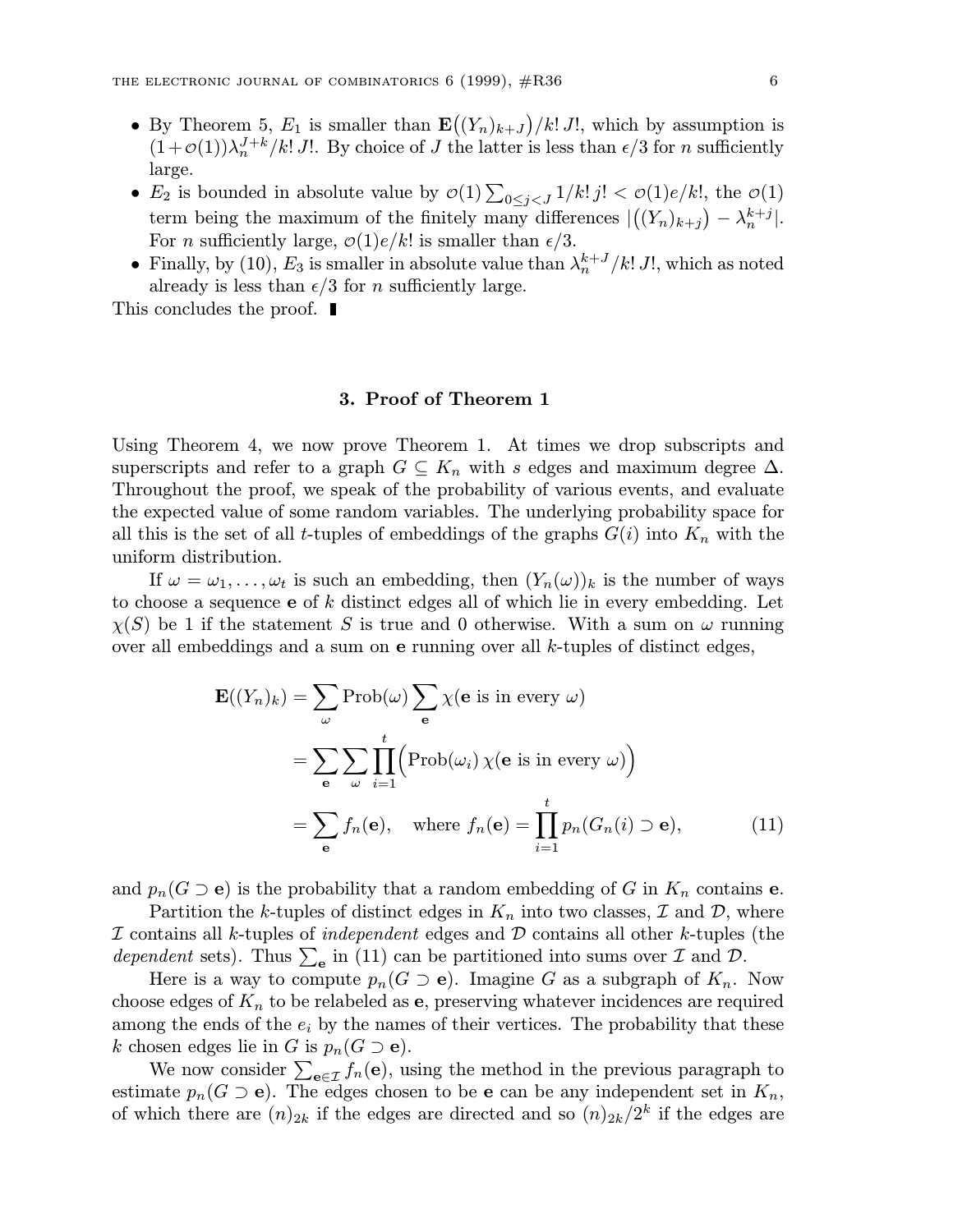- By Theorem 5,  $E_1$  is smaller than  $\mathbf{E}((Y_n)_{k+J})/k! J!$ , which by assumption is  $(1+\mathcal{O}(1))\lambda_n^{J+k}/k!$  J!. By choice of J the latter is less than  $\epsilon/3$  for n sufficiently large.
- $E_2$  is bounded in absolute value by  $\mathcal{O}(1) \sum_{0 \leq j < J} 1/k! \, j! < \mathcal{O}(1) e/k!$ , the  $\mathcal{O}(1)$ term being the maximum of the finitely many differences  $|((Y_n)_{k+j}) - \lambda_n^{k+j}|$ . For *n* sufficiently large,  $\mathcal{O}(1)e/k!$  is smaller than  $\epsilon/3$ .
- Finally, by (10),  $E_3$  is smaller in absolute value than  $\lambda_n^{k+J}/k! J!$ , which as noted already is less than  $\epsilon/3$  for n sufficiently large.

This concludes the proof.  $\blacksquare$ 

### 3. Proof of Theorem 1

Using Theorem 4, we now prove Theorem 1. At times we drop subscripts and superscripts and refer to a graph  $G \subseteq K_n$  with s edges and maximum degree  $\Delta$ . Throughout the proof, we speak of the probability of various events, and evaluate the expected value of some random variables. The underlying probability space for all this is the set of all t-tuples of embeddings of the graphs  $G(i)$  into  $K_n$  with the uniform distribution.

If  $\omega = \omega_1, \ldots, \omega_t$  is such an embedding, then  $(Y_n(\omega))_k$  is the number of ways to choose a sequence  $e$  of  $k$  distinct edges all of which lie in every embedding. Let  $\chi(S)$  be 1 if the statement S is true and 0 otherwise. With a sum on  $\omega$  running over all embeddings and a sum on  $e$  running over all  $k$ -tuples of distinct edges,

$$
\mathbf{E}((Y_n)_k) = \sum_{\omega} \text{Prob}(\omega) \sum_{\mathbf{e}} \chi(\mathbf{e} \text{ is in every } \omega)
$$

$$
= \sum_{\mathbf{e}} \sum_{\omega} \prod_{i=1}^t \left( \text{Prob}(\omega_i) \chi(\mathbf{e} \text{ is in every } \omega) \right)
$$

$$
= \sum_{\mathbf{e}} f_n(\mathbf{e}), \quad \text{where } f_n(\mathbf{e}) = \prod_{i=1}^t p_n(G_n(i) \supset \mathbf{e}), \tag{11}
$$

and  $p_n(G \supseteq e)$  is the probability that a random embedding of G in  $K_n$  contains e.

Partition the k-tuples of distinct edges in  $K_n$  into two classes,  $\mathcal I$  and  $\mathcal D$ , where  $I$  contains all k-tuples of *independent* edges and  $D$  contains all other k-tuples (the dependent sets). Thus  $\sum_{e}$  in (11) can be partitioned into sums over  $\mathcal I$  and  $\mathcal D$ .

Here is a way to compute  $p_n(G \supset e)$ . Imagine G as a subgraph of  $K_n$ . Now choose edges of  $K_n$  to be relabeled as **e**, preserving whatever incidences are required among the ends of the  $e_i$  by the names of their vertices. The probability that these k chosen edges lie in G is  $p_n(G \supseteq e)$ .

We now consider  $\sum_{\mathbf{e} \in \mathcal{I}} f_n(\mathbf{e})$ , using the method in the previous paragraph to estimate  $p_n(G \supseteq e)$ . The edges chosen to be e can be any independent set in  $K_n$ , of which there are  $(n)_{2k}$  if the edges are directed and so  $(n)_{2k}/2^k$  if the edges are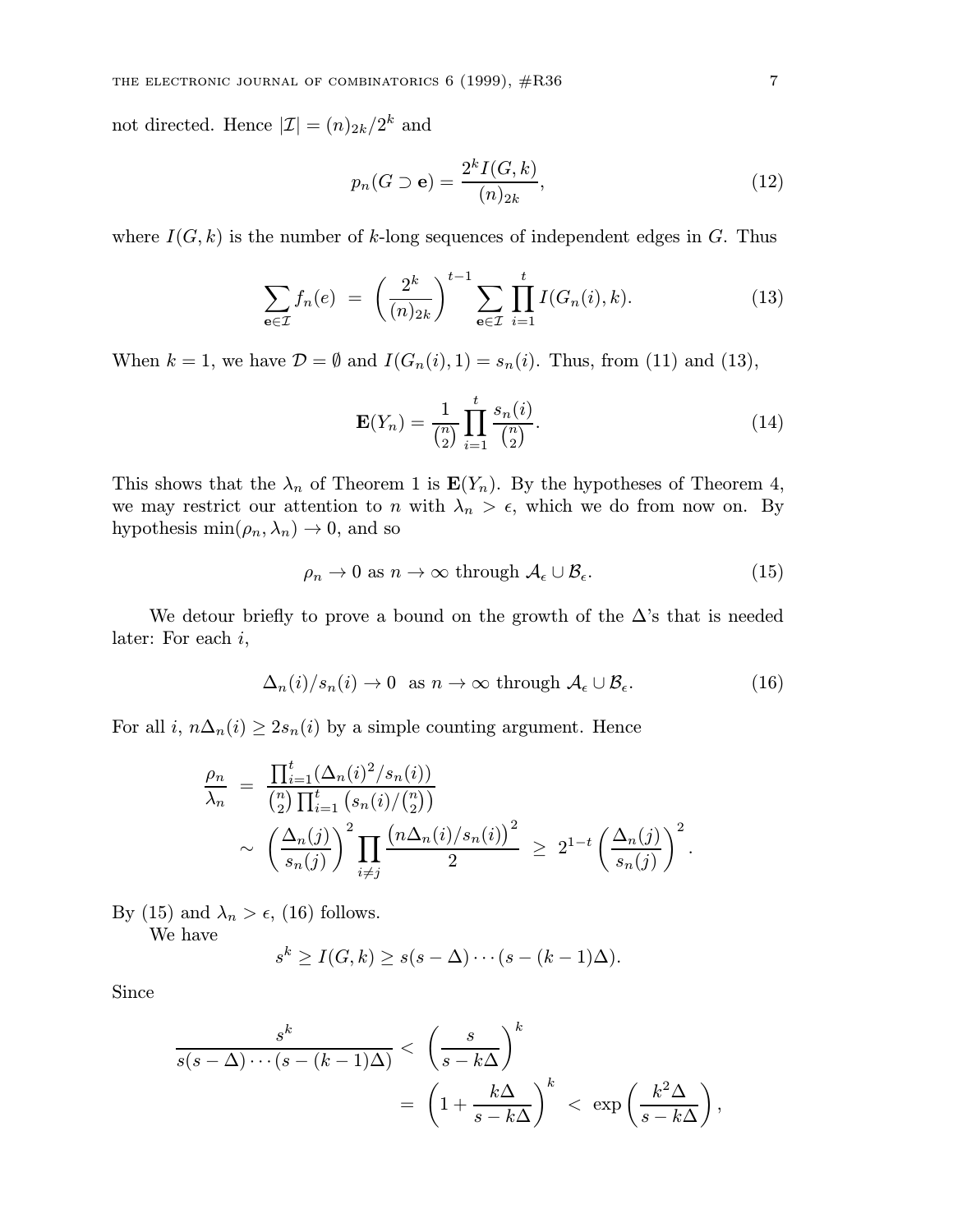not directed. Hence  $|\mathcal{I}| = (n)_{2k}/2^k$  and

$$
p_n(G \supset \mathbf{e}) = \frac{2^k I(G, k)}{(n)_{2k}},\tag{12}
$$

where  $I(G, k)$  is the number of k-long sequences of independent edges in G. Thus

$$
\sum_{e \in \mathcal{I}} f_n(e) = \left(\frac{2^k}{(n)_{2k}}\right)^{t-1} \sum_{e \in \mathcal{I}} \prod_{i=1}^t I(G_n(i), k). \tag{13}
$$

When  $k = 1$ , we have  $\mathcal{D} = \emptyset$  and  $I(G_n(i), 1) = s_n(i)$ . Thus, from (11) and (13),

$$
\mathbf{E}(Y_n) = \frac{1}{\binom{n}{2}} \prod_{i=1}^t \frac{s_n(i)}{\binom{n}{2}}.
$$
 (14)

This shows that the  $\lambda_n$  of Theorem 1 is  $\mathbf{E}(Y_n)$ . By the hypotheses of Theorem 4, we may restrict our attention to n with  $\lambda_n > \epsilon$ , which we do from now on. By hypothesis min $(\rho_n, \lambda_n) \to 0$ , and so

$$
\rho_n \to 0 \text{ as } n \to \infty \text{ through } \mathcal{A}_{\epsilon} \cup \mathcal{B}_{\epsilon}.\tag{15}
$$

We detour briefly to prove a bound on the growth of the  $\Delta$ 's that is needed later: For each i,

$$
\Delta_n(i)/s_n(i) \to 0 \text{ as } n \to \infty \text{ through } \mathcal{A}_{\epsilon} \cup \mathcal{B}_{\epsilon}.
$$
 (16)

For all i,  $n\Delta_n(i) \geq 2s_n(i)$  by a simple counting argument. Hence

$$
\frac{\rho_n}{\lambda_n} = \frac{\prod_{i=1}^t (\Delta_n(i)^2/s_n(i))}{\binom{n}{2} \prod_{i=1}^t (s_n(i)/\binom{n}{2})} \sim \left(\frac{\Delta_n(j)}{s_n(j)}\right)^2 \prod_{i \neq j} \frac{\left(n\Delta_n(i)/s_n(i)\right)^2}{2} \geq 2^{1-t} \left(\frac{\Delta_n(j)}{s_n(j)}\right)^2.
$$

By (15) and  $\lambda_n > \epsilon$ , (16) follows.

We have

$$
s^{k} \ge I(G,k) \ge s(s-\Delta) \cdots (s-(k-1)\Delta).
$$

Since

$$
\frac{s^k}{s(s-\Delta)\cdots(s-(k-1)\Delta)} < \left(\frac{s}{s-k\Delta}\right)^k
$$
  
=  $\left(1+\frac{k\Delta}{s-k\Delta}\right)^k < \exp\left(\frac{k^2\Delta}{s-k\Delta}\right),$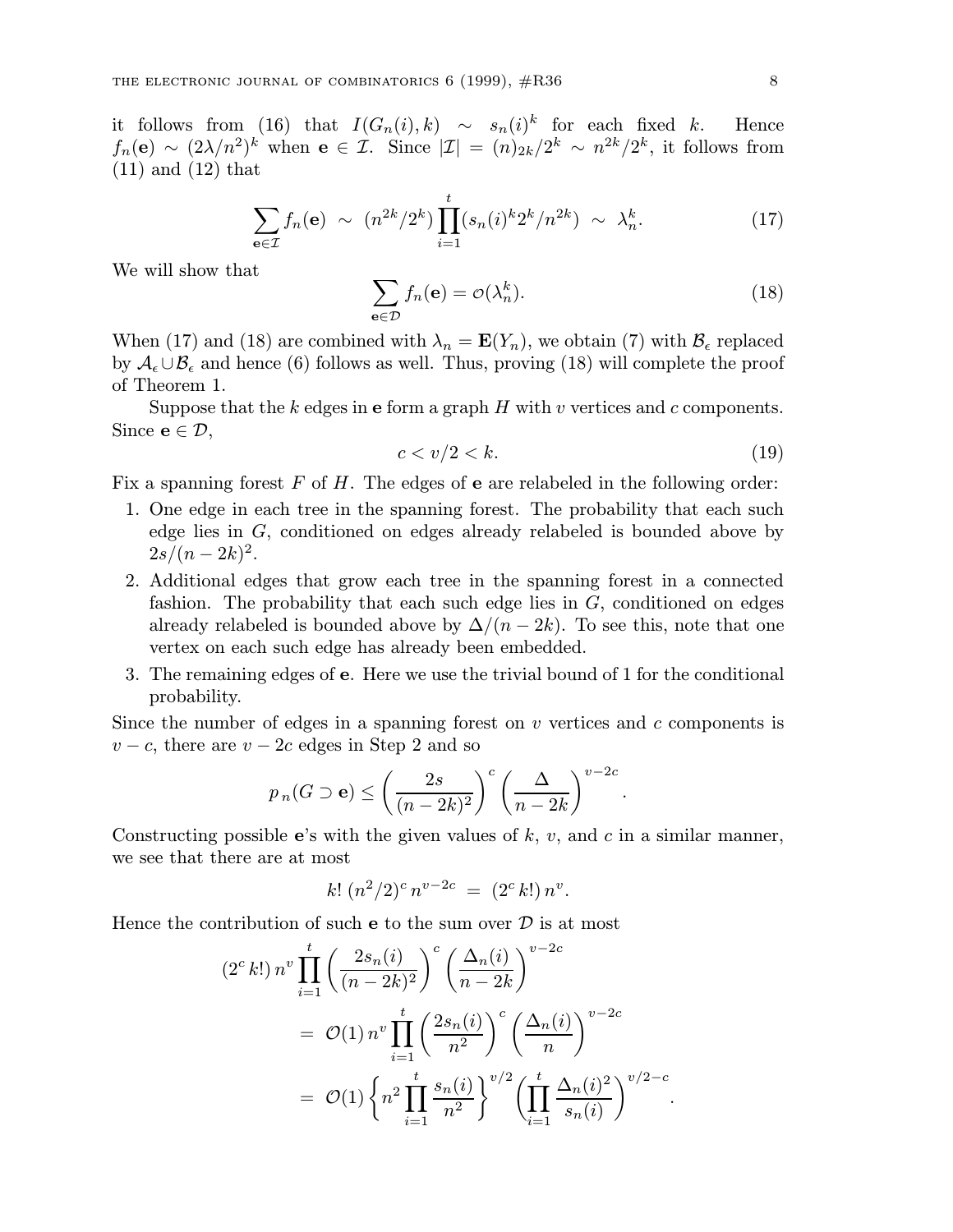it follows from (16) that  $I(G_n(i), k) \sim s_n(i)^k$  for each fixed k. Hence  $f_n(\mathbf{e}) \sim (2\lambda/n^2)^k$  when  $\mathbf{e} \in \mathcal{I}$ . Since  $|\mathcal{I}| = (n)_{2k}/2^k \sim n^{2k}/2^k$ , it follows from (11) and (12) that

$$
\sum_{\mathbf{e}\in\mathcal{I}} f_n(\mathbf{e}) \sim (n^{2k}/2^k) \prod_{i=1}^t (s_n(i)^k 2^k/n^{2k}) \sim \lambda_n^k.
$$
 (17)

We will show that

$$
\sum_{\mathbf{e}\in\mathcal{D}} f_n(\mathbf{e}) = \mathcal{O}(\lambda_n^k). \tag{18}
$$

When (17) and (18) are combined with  $\lambda_n = \mathbf{E}(Y_n)$ , we obtain (7) with  $\mathcal{B}_{\epsilon}$  replaced by  $A_{\epsilon} \cup B_{\epsilon}$  and hence (6) follows as well. Thus, proving (18) will complete the proof of Theorem 1.

Suppose that the k edges in e form a graph  $H$  with  $v$  vertices and  $c$  components. Since  $e \in \mathcal{D}$ ,

$$
c < v/2 < k. \tag{19}
$$

Fix a spanning forest  $F$  of  $H$ . The edges of **e** are relabeled in the following order:

- 1. One edge in each tree in the spanning forest. The probability that each such edge lies in G, conditioned on edges already relabeled is bounded above by  $2s/(n-2k)^2$ .
- 2. Additional edges that grow each tree in the spanning forest in a connected fashion. The probability that each such edge lies in  $G$ , conditioned on edges already relabeled is bounded above by  $\Delta/(n-2k)$ . To see this, note that one vertex on each such edge has already been embedded.
- 3. The remaining edges of e. Here we use the trivial bound of 1 for the conditional probability.

Since the number of edges in a spanning forest on  $v$  vertices and  $c$  components is  $v - c$ , there are  $v - 2c$  edges in Step 2 and so

$$
p_n(G \supseteq e) \leq \left(\frac{2s}{(n-2k)^2}\right)^c \left(\frac{\Delta}{n-2k}\right)^{v-2c}.
$$

Constructing possible e's with the given values of  $k, v$ , and  $c$  in a similar manner, we see that there are at most

$$
k! \ (n^2/2)^c \, n^{v-2c} \ = \ (2^c \, k!) \, n^v.
$$

Hence the contribution of such  $e$  to the sum over  $D$  is at most

$$
(2c k!) nv \prod_{i=1}^{t} \left( \frac{2s_n(i)}{(n-2k)^2} \right)^c \left( \frac{\Delta_n(i)}{n-2k} \right)^{v-2c}
$$
  
=  $\mathcal{O}(1) nv \prod_{i=1}^{t} \left( \frac{2s_n(i)}{n^2} \right)^c \left( \frac{\Delta_n(i)}{n} \right)^{v-2c}$   
=  $\mathcal{O}(1) \left\{ n^2 \prod_{i=1}^{t} \frac{s_n(i)}{n^2} \right\}^{v/2} \left( \prod_{i=1}^{t} \frac{\Delta_n(i)^2}{s_n(i)} \right)^{v/2-c}.$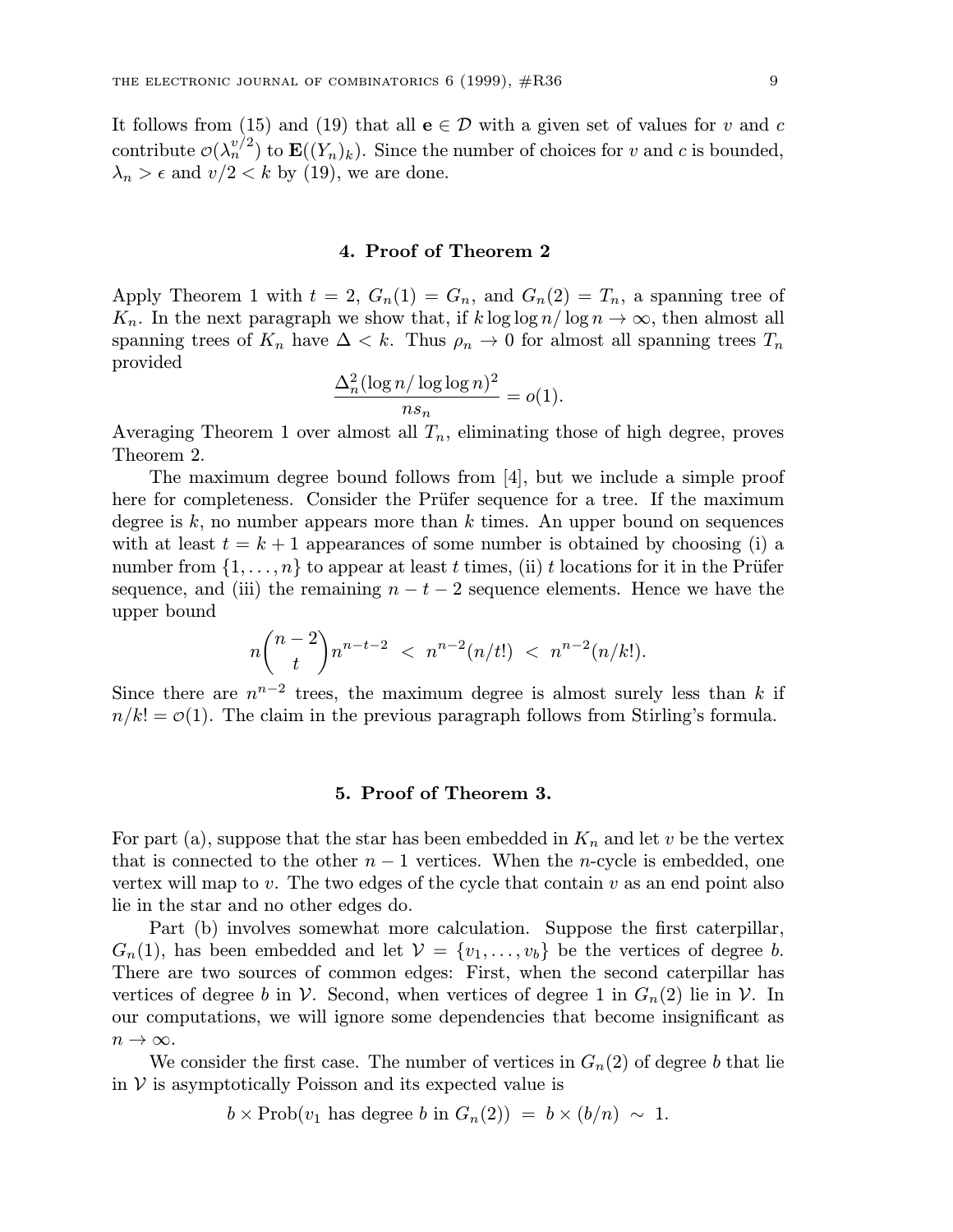It follows from (15) and (19) that all  $e \in \mathcal{D}$  with a given set of values for v and c contribute  $\mathcal{O}(\lambda_n^{v/2})$  to  $\mathbf{E}((Y_n)_k)$ . Since the number of choices for v and c is bounded,  $\lambda_n > \epsilon$  and  $v/2 < k$  by (19), we are done.

#### 4. Proof of Theorem 2

Apply Theorem 1 with  $t = 2$ ,  $G_n(1) = G_n$ , and  $G_n(2) = T_n$ , a spanning tree of  $K_n$ . In the next paragraph we show that, if  $k \log \log n / \log n \to \infty$ , then almost all spanning trees of  $K_n$  have  $\Delta < k$ . Thus  $\rho_n \to 0$  for almost all spanning trees  $T_n$ provided

$$
\frac{\Delta_n^2(\log n/\log\log n)^2}{ns_n} = o(1).
$$

Averaging Theorem 1 over almost all  $T_n$ , eliminating those of high degree, proves Theorem 2.

The maximum degree bound follows from [4], but we include a simple proof here for completeness. Consider the Prüfer sequence for a tree. If the maximum degree is  $k$ , no number appears more than  $k$  times. An upper bound on sequences with at least  $t = k + 1$  appearances of some number is obtained by choosing (i) a number from  $\{1,\ldots,n\}$  to appear at least t times, (ii) t locations for it in the Prüfer sequence, and (iii) the remaining  $n - t - 2$  sequence elements. Hence we have the upper bound

$$
n \binom{n-2}{t} n^{n-t-2} < n^{n-2} (n/t!) < n^{n-2} (n/k!).
$$

Since there are  $n^{n-2}$  trees, the maximum degree is almost surely less than k if  $n/k! = \mathcal{O}(1)$ . The claim in the previous paragraph follows from Stirling's formula.

# 5. Proof of Theorem 3.

For part (a), suppose that the star has been embedded in  $K_n$  and let v be the vertex that is connected to the other  $n-1$  vertices. When the n-cycle is embedded, one vertex will map to  $v$ . The two edges of the cycle that contain  $v$  as an end point also lie in the star and no other edges do.

Part (b) involves somewhat more calculation. Suppose the first caterpillar,  $G_n(1)$ , has been embedded and let  $\mathcal{V} = \{v_1, \ldots, v_b\}$  be the vertices of degree b. There are two sources of common edges: First, when the second caterpillar has vertices of degree b in  $\mathcal V$ . Second, when vertices of degree 1 in  $G_n(2)$  lie in  $\mathcal V$ . In our computations, we will ignore some dependencies that become insignificant as  $n \to \infty$ .

We consider the first case. The number of vertices in  $G_n(2)$  of degree b that lie in  $V$  is asymptotically Poisson and its expected value is

 $b \times \text{Prob}(v_1 \text{ has degree } b \text{ in } G_n(2)) = b \times (b/n) \sim 1.$